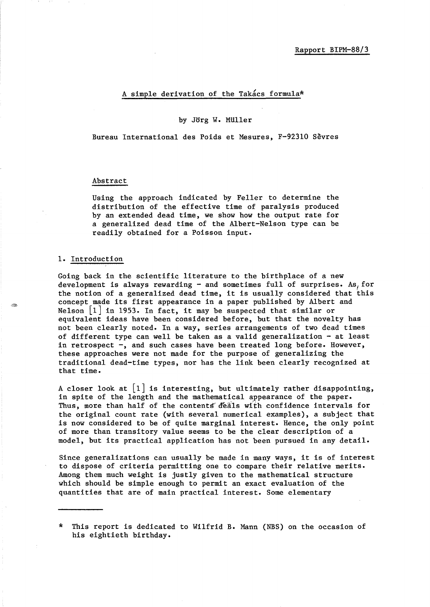# A simple derivation of the Takacs formula\*

### by Jorg W. MUller

Bureau International des Poids et Mesures, F-92310 Sevres

### Abstract

Using the approach indicated by Feller to determine the distribution of the effective time of paralysis produced by an extended dead time, we show how the output rate for a generalized dead time of the Albert-Nelson type can be readily obtained for a Poisson input.

#### 1. Introduction

Going back in the scientific literature to the birthplace of a new development is always rewarding  $-$  and sometimes full of surprises. As, for the notion of a generalized dead time, it is usually considered that this concept made its first appearance in a paper published by Albert and Nelson  $|1|$  in 1953. In fact, it may be suspected that similar or equivalent ideas have been considered before, but that the novelty has not been clearly noted. In a way, series arrangements of two dead times of different type can well be taken as a valid generalization - at least in retrospect -, and such cases have been treated long before. However, these approaches were not made for the purpose of generalizing the traditional dead-time types, nor has the link been clearly recognized at that time.

A closer look at  $\begin{bmatrix} 1 \end{bmatrix}$  is interesting, but ultimately rather disappointing, in spite of the length and the mathematical appearance of the paper. Thus, more than half of the contents' deals with confidence intervals for the original count rate (with several numerical examples), a subject that is now considered to be of quite marginal interest. Hence, the only point of more than transitory value seems to be the clear description of a model, but its practical application has not been pursued in any detail.

Since generalizations can usually be made in many ways, it is of interest to dispose of criteria permitting one to compare their relative merits. Among them much weight is justly given to the mathematical structure which should be simple enough to permit an exact evaluation of the quantities that are of main practical interest. Some elementary

<sup>\*</sup> This report is dedicated to Wilfrid B. Mann (NBS) on the occasion of his eightieth birthday.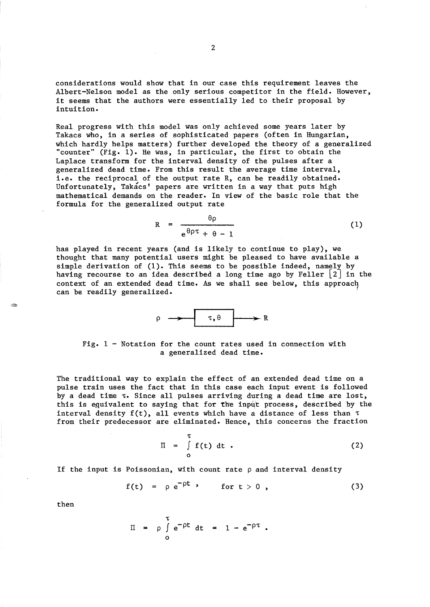considerations would show that in our case this requirement leaves the Albert-Nelson model as the only serious competitor in the field. However, it seems that the authors were essentially led to their proposal by intuition.

Real progress with this model was only achieved some years later by Takacs who, in a series of sophisticated papers (often in Hungarian, which hardly helps matters) further developed the theory of a generalized "counter" (Fig. 1). He was, in particular, the first to obtain the Laplace transform for the interval density of the pulses after a generalized dead time. From this result the average time interval, i.e. the reciprocal of the output rate R, can be readily obtained. Unfortunately, Takacs' papers are written in a way that puts high mathematical demands on the reader. In view of the basic role that the formula for the generalized output rate

$$
R = \frac{\theta \rho}{e^{\theta \rho \tau} + \theta - 1}
$$
 (1)

has played in recent years (and is likely to continue to play), we thought that many potential users might be pleased to have available a simple derivation of  $(1)$ . This seems to be possible indeed, namely by having recourse to an idea described a long time ago by Feller  $\lfloor 2 \rfloor$  in the context of an extended dead time. As we shall see below, this approach can be readily generalized.



Fig. 1 - Notation for the count rates used in connection with a generalized dead time.

The traditional way to explain the effect of an extended dead time on a pulse train uses the fact that in this case each input event is followed by a dead time  $\tau$ . Since all pulses arriving during a dead time are lost, this is equivalent to saying that for the input process, described by the interval density  $f(t)$ , all events which have a distance of less than  $\tau$ from their predecessor are eliminated. Hence, this concerns the fraction

$$
\Pi = \int_{0}^{\tau} f(t) dt . \qquad (2)
$$

If the input is Poissonian, with count rate  $\rho$  and interval density

$$
f(t) = \rho e^{-\rho t} , \quad \text{for } t > 0 , \qquad (3)
$$

then

$$
\Pi = \rho \int_{0}^{\tau} e^{-\rho t} dt = 1 - e^{-\rho \tau}.
$$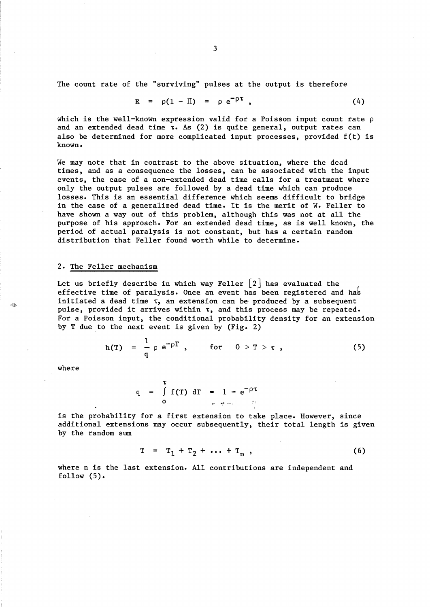The count rate of the "surviving" pulses at the output is therefore

$$
R = \rho(1 - \Pi) = \rho e^{-\rho \tau} \qquad (4)
$$

which is the well-known expression valid for a Poisson input count rate  $\rho$ and an extended dead time  $\tau$ . As (2) is quite general, output rates can also be determined for more complicated input processes, provided f(t) is known.

We may note that in contrast to the above situation, where the dead times, and as a consequence the losses, can be associated with the input events, the case of a non-extended dead time calls for a treatment where only the output pulses are followed by a dead time which can produce losses. This is an essential difference which seems difficult to bridge in the case of a generalized dead time. It is the merit of W. Feller to have shown a way out of this problem, although this was not at all the purpose of his approach. For an extended dead time, as is well known, the period of actual paralysis is not constant, but has a certain random distribution that Feller found worth while to determine.

# 2. The Feller mechanism

Let us briefly describe in which way Feller  $\lceil 2 \rceil$  has evaluated the effective time of paralysis. Once an event has been registered and has initiated a dead time  $\tau$ , an extension can be produced by a subsequent pulse, provided it arrives within  $\tau$ , and this process may be repeated. For a Poisson input, the conditional probability density for an extension by T due to the next event is given by (Fig. 2)

$$
h(T) = \frac{1}{q} \rho e^{-\rho T} , \quad \text{for} \quad 0 > T > \tau , \qquad (5)
$$

where

$$
q = \int_{0}^{\tau} f(T) dT = 1 - e^{-\rho \tau}
$$

is the probability for a first extension to take place. However, since additional extensions may occur subsequently, their total length is given by the random sum

$$
T = T_1 + T_2 + \dots + T_n,
$$
 (6)

where n is the last extension. All contributions are independent and follow  $(5)$ .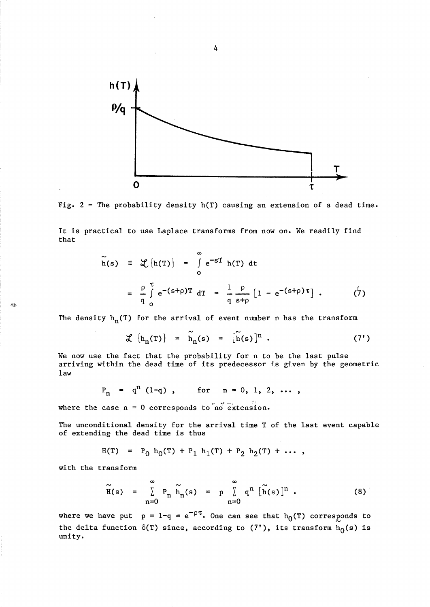

4



It is practical to use Laplace transforms from now on. We readily find that

$$
\widetilde{h}(s) = \mathcal{L}\left\{h(T)\right\} = \int_{0}^{\infty} e^{-ST} h(T) dt
$$

$$
= \frac{\rho}{q} \int_{0}^{\tau} e^{-(s+\rho)T} dT = \frac{1}{q} \frac{\rho}{s+\rho} \left[1 - e^{-(s+\rho)\tau}\right]. \qquad (7)
$$

The density  $h_n(T)$  for the arrival of event number n has the transform

$$
\mathcal{K} \{h_n(T)\} = \widetilde{h}_n(s) = [\widetilde{h}(s)]^n . \qquad (7')
$$

We now use the fact that the probability for n to be the last pulse arriving within the dead time of its predecessor is given by the geometric law

$$
P_n = q^n (1-q)
$$
, for  $n = 0, 1, 2, ...$ 

where the case  $n = 0$  corresponds to no extension.

The unconditional density for the arrival time T of the last event capable of extending the dead time is thus

$$
H(T) = P_0 h_0(T) + P_1 h_1(T) + P_2 h_2(T) + \cdots,
$$

with the transform

É.

$$
\widetilde{H}(s) = \sum_{n=0}^{\infty} P_n \widetilde{h}_n(s) = p \sum_{n=0}^{\infty} q^n \widetilde{[h}(s)]^n .
$$
 (8)

where we have put  $p = 1-q = e^{-\rho \tau}$ . One can see that  $h_0(T)$  corresponds to the delta function  $\delta(T)$  since, according to  $(7')$ , its transform  $h_0(s)$  is unity.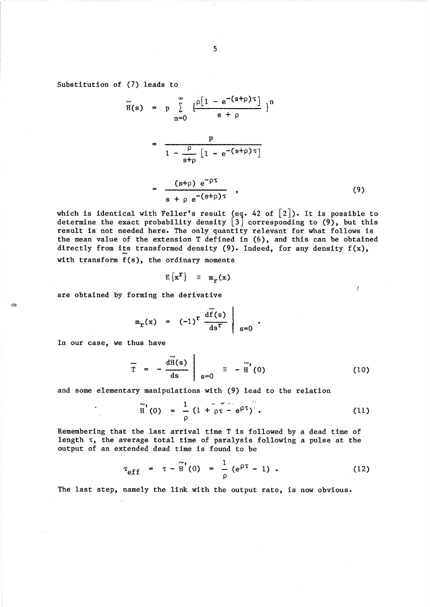Substitution of (7) leads to

$$
\widetilde{H}(s) = p \sum_{n=0}^{\infty} \frac{\left\{\frac{\rho[1 - e^{-(s+\rho)\tau}]}{s + \rho}\right\}^{n}}{1 - \frac{\rho}{s+\rho} [1 - e^{-(s+\rho)\tau}]}
$$
\n
$$
= \frac{(s+\rho) e^{-\rho\tau}}{s + \rho e^{-(s+\rho)\tau}}, \qquad (9)
$$

which is identical with Feller's result (eq. 42 of  $[2]$ ). It is possible to determine the exact probability density  $\begin{bmatrix} 3 \end{bmatrix}$  corresponding to (9), but this result is not needed here. The only quantity relevant for what follows is the mean value of the extension T defined in (6), and this can be obtained directly from its transformed density (9). Indeed, for any density  $f(x)$ , with transform f(s), the ordinary moments

$$
E\left\{x^{\mathbf{r}}\right\} = m_{\mathbf{r}}(x)
$$

are obtained by forming the derivative

$$
m_r(x) = (-1)^r \frac{d\widetilde{f}(s)}{ds^r} \Bigg|_{s=0}.
$$

In our case, we thus have

$$
\overline{T} = -\frac{d\widetilde{H}(s)}{ds} \Big|_{s=0} = -\widetilde{H}'(0)
$$
 (10)

Y

and some elementary manipulations with (9) lead to the relation

$$
\widetilde{H}^{t}(0) = \frac{1}{\rho} (1 + \rho \tau - e^{\rho \tau})
$$
 (11)

Remembering that the last arrival time T is followed by a dead time of length  $\tau$ , the average total time of paralysis following a pulse at the output of an extended dead time is found to be

$$
\tau_{eff} = \tau - \tilde{H}'(0) = \frac{1}{\rho} (e^{\rho \tau} - 1) . \qquad (12)
$$

The last step, namely the link with the output rate, is now obvious.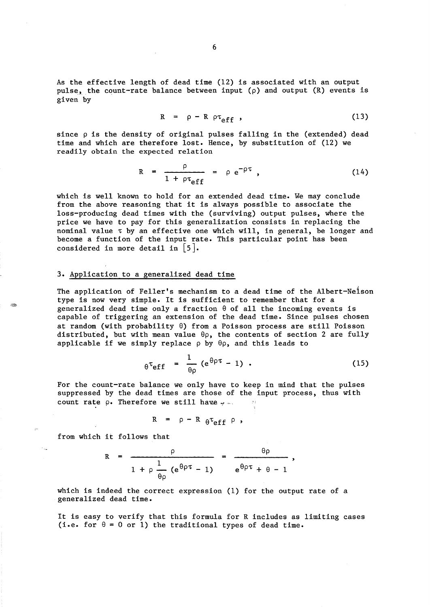As the effective length of dead time (12) is associated with an output pulse, the count-rate balance between input  $(\rho)$  and output  $(R)$  events is given by

$$
R = \rho - R \rho \tau_{eff} \tag{13}
$$

since  $\rho$  is the density of original pulses falling in the (extended) dead time and which are therefore lost. Hence, by substitution of (12) we readily obtain the expected relation

$$
R = \frac{\rho}{1 + \rho \tau_{eff}} = \rho e^{-\rho \tau} , \qquad (14)
$$

which is well known to hold for an extended dead time. We may conclude from the above reasoning that it is always possible to associate the loss-producing dead times with the (surviving) output pulses, where the price we have to pay for this generalization consists in replacing the nominal value  $\tau$  by an effective one which will, in general, be longer and become a function of the input rate. This particular point has been considered in more detail in  $\vert 5 \vert$ .

## 3. Application to a generalized dead time

The application of Feller's mechanism to a dead time of the Albert-Neison type is now very simple. It is sufficient to remember that for a generalized dead time only a fraction  $\theta$  of all the incoming events is capable of triggering an extension of the dead time. Since pulses chosen at random (with probability  $\theta$ ) from a Poisson process are still Poisson distributed, but with mean value  $\theta \rho$ , the contents of section 2 are fully applicable if we simply replace  $\rho$  by  $\theta\rho$ , and this leads to

$$
\theta^{\tau} \mathbf{eff} = \frac{1}{\theta \rho} (e^{\theta \rho \tau} - 1) . \qquad (15)
$$

For the count-rate balance we only have to keep in mind that the pulses suppressed by the dead times are those of the input process, thus with count rate  $\rho$ . Therefore we still have  $\sim$ .

$$
R = \rho - R \theta \tau_{eff} \rho ,
$$

from which it follows that

$$
R = \frac{\rho}{1 + \rho \frac{1}{\theta \rho} (e^{\theta \rho \tau} - 1)} = \frac{\theta \rho}{e^{\theta \rho \tau} + \theta - 1},
$$

which is indeed the correct expression (1) for the output rate of a generalized dead time.

It is easy to verify that this formula for R includes as limiting cases (i.e. for  $\theta = 0$  or 1) the traditional types of dead time.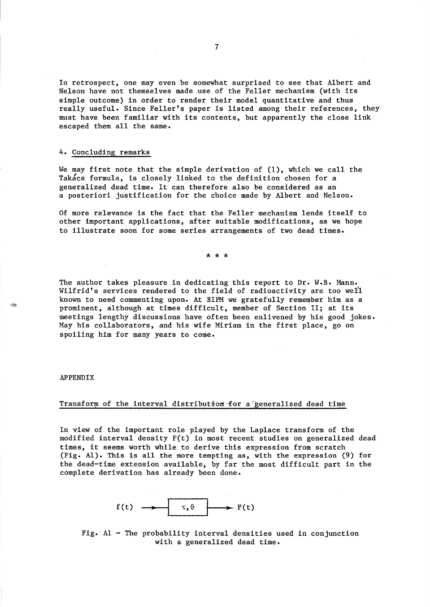In retrospect, one may even be somewhat surprised to see that Albert and Nelson have not themselves made use of the Feller mechanism (with its simple outcome) in order to render their model quantitative and thus really useful. Since Feller's paper is listed among their references, they must have been familiar with its contents, but apparently the close link escaped them all the same.

## 4. Concluding remarks

We may first note that the simple derivation of (1), which we call the Takacs formula, is closely linked to the definition chosen for a generalized dead time. It can therefore also be considered as an a posteriori justification for the choice made by Albert and Nelson.

Of more relevance is the fact that the Feller mechanism lends itself to other important applications, after suitable modifications, as we hope to illustrate soon for some series arrangements of two dead times.

\* \* \*

The author takes pleasure in dedicating this report to Dr. W.B. Mann. Wilfrid's services rendered to the field of radioactivity are too well known to need commenting upon. At BIPM we gratefully remember him as a prominent, although at times difficult, member of Section 11; at its meetings lengthy discussions have often been enlivened by his good jokes. May his collaborators, and his wife Miriam in the first place, go on spoiling him for many years to come.

### APPENDIX

AB.

### Transform of the interval distribution for a generalized dead time

In view of the important role played by the Laplace transform of the modified interval density F(t) in most recent studies on generalized dead times, it seems worth while to derive this expression from scratch (Fig. A1). This is all the more tempting as, with the expression (9) for the dead-time extension available, by far the most difficult part in the complete derivation has already been done.



Fig. A1 - The probability interval densities used in conjunction with a generalized dead time.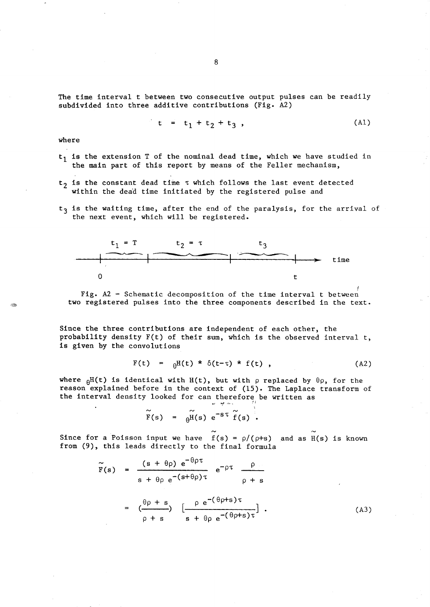The time interval t between two consecutive output pulses can be readily subdivided into three additive contributions (Fig. A2)

 $t = t_1 + t_2 + t_3$ , (Al)

where

- $t_1$  is the extension T of the nominal dead time, which we have studied in the main part of this report by means of the Feller mechanism,
- $t_2$  is the constant dead time  $\tau$  which follows the last event detected within the dead time initiated by the registered pulse and
- $t<sub>3</sub>$  is the waiting time, after the end of the paralysis, for the arrival of the next event, which will be registered.



*t*  Fig. A2 - Schematic decomposition of the time interval t between two registered pulses into the three components described in the text.

Since the three contributions are independent of each other, the probability density F(t) of their sum, which is the observed interval t, is given by the convolutions

$$
F(t) = \theta H(t) \star \delta(t-\tau) \star f(t) , \qquad (A2)
$$

where  $\beta$ H(t) is identical with H(t), but with p replaced by  $\theta$ p, for the reason explained before in the context of (15). The Laplace transform of the interval density looked for can therefore be written as

$$
\widetilde{F}(s) = \widetilde{\theta^{H}}(s) e^{-S\tau} \widetilde{f}(s).
$$

Since for a Poisson input we have  $f(s) = \rho/(\rho+s)$  and as H(s) is known from (9), this leads directly to the final formula

$$
\widetilde{F}(s) = \frac{(s + \theta \rho) e^{-\theta \rho \tau}}{s + \theta \rho e^{-(s + \theta \rho) \tau}} e^{-\rho \tau} \frac{\rho}{\rho + s}
$$
\n
$$
= \left(\frac{\theta \rho + s}{\rho + s}\right) \left[\frac{\rho e^{-(\theta \rho + s) \tau}}{s + \theta \rho e^{-(\theta \rho + s) \tau}}\right].
$$
\n(A3)